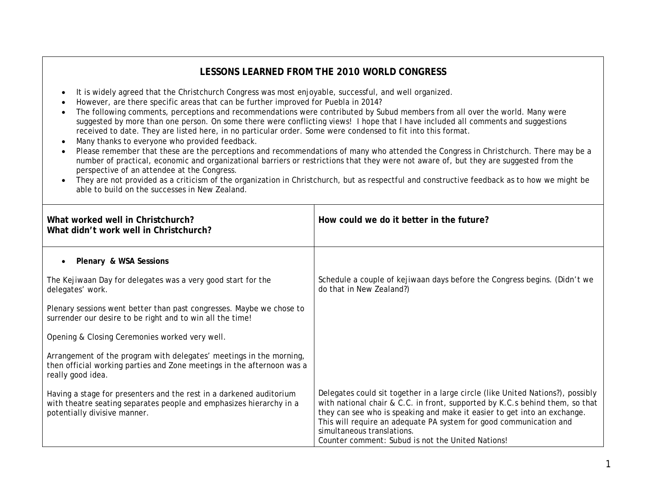## **LESSONS LEARNED FROM THE 2010 WORLD CONGRESS**

- It is widely agreed that the Christchurch Congress was most enjoyable, successful, and well organized.
- However, are there specific areas that can be further improved for Puebla in 2014?
- The following comments, perceptions and recommendations were contributed by Subud members from all over the world. Many were suggested by more than one person. On some there were conflicting views! I hope that I have included all comments and suggestions received to date. They are listed here, in no particular order. Some were condensed to fit into this format.
- Many thanks to everyone who provided feedback.
- Please remember that these are the perceptions and recommendations of many who attended the Congress in Christchurch. There may be a number of practical, economic and organizational barriers or restrictions that they were not aware of, but they are suggested from the perspective of an attendee at the Congress.
- They are not provided as a criticism of the organization in Christchurch, but as respectful and constructive feedback as to how we might be able to build on the successes in New Zealand.

| What worked well in Christchurch?<br>What didn't work well in Christchurch?                                                                                                | How could we do it better in the future?                                                                                                                                                                                                                                                                                                                                                             |
|----------------------------------------------------------------------------------------------------------------------------------------------------------------------------|------------------------------------------------------------------------------------------------------------------------------------------------------------------------------------------------------------------------------------------------------------------------------------------------------------------------------------------------------------------------------------------------------|
| Plenary & WSA Sessions                                                                                                                                                     |                                                                                                                                                                                                                                                                                                                                                                                                      |
| The Kejiwaan Day for delegates was a very good start for the<br>delegates' work.                                                                                           | Schedule a couple of kejiwaan days before the Congress begins. (Didn't we<br>do that in New Zealand?)                                                                                                                                                                                                                                                                                                |
| Plenary sessions went better than past congresses. Maybe we chose to<br>surrender our desire to be right and to win all the time!                                          |                                                                                                                                                                                                                                                                                                                                                                                                      |
| Opening & Closing Ceremonies worked very well.                                                                                                                             |                                                                                                                                                                                                                                                                                                                                                                                                      |
| Arrangement of the program with delegates' meetings in the morning,<br>then official working parties and Zone meetings in the afternoon was a<br>really good idea.         |                                                                                                                                                                                                                                                                                                                                                                                                      |
| Having a stage for presenters and the rest in a darkened auditorium<br>with theatre seating separates people and emphasizes hierarchy in a<br>potentially divisive manner. | Delegates could sit together in a large circle (like United Nations?), possibly<br>with national chair & C.C. in front, supported by K.C.s behind them, so that<br>they can see who is speaking and make it easier to get into an exchange.<br>This will require an adequate PA system for good communication and<br>simultaneous translations.<br>Counter comment: Subud is not the United Nations! |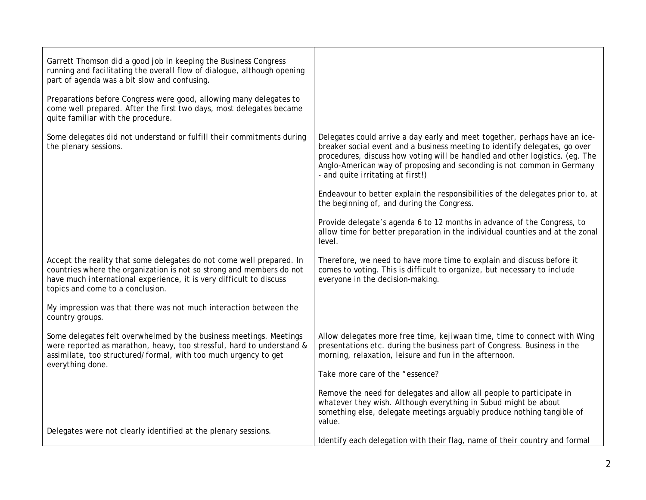| Garrett Thomson did a good job in keeping the Business Congress<br>running and facilitating the overall flow of dialogue, although opening<br>part of agenda was a bit slow and confusing.                                                              |                                                                                                                                                                                                                                                                                                                                                         |
|---------------------------------------------------------------------------------------------------------------------------------------------------------------------------------------------------------------------------------------------------------|---------------------------------------------------------------------------------------------------------------------------------------------------------------------------------------------------------------------------------------------------------------------------------------------------------------------------------------------------------|
| Preparations before Congress were good, allowing many delegates to<br>come well prepared. After the first two days, most delegates became<br>quite familiar with the procedure.                                                                         |                                                                                                                                                                                                                                                                                                                                                         |
| Some delegates did not understand or fulfill their commitments during<br>the plenary sessions.                                                                                                                                                          | Delegates could arrive a day early and meet together, perhaps have an ice-<br>breaker social event and a business meeting to identify delegates, go over<br>procedures, discuss how voting will be handled and other logistics. (eg. The<br>Anglo-American way of proposing and seconding is not common in Germany<br>- and quite irritating at first!) |
|                                                                                                                                                                                                                                                         | Endeavour to better explain the responsibilities of the delegates prior to, at<br>the beginning of, and during the Congress.                                                                                                                                                                                                                            |
|                                                                                                                                                                                                                                                         | Provide delegate's agenda 6 to 12 months in advance of the Congress, to<br>allow time for better preparation in the individual counties and at the zonal<br>level.                                                                                                                                                                                      |
| Accept the reality that some delegates do not come well prepared. In<br>countries where the organization is not so strong and members do not<br>have much international experience, it is very difficult to discuss<br>topics and come to a conclusion. | Therefore, we need to have more time to explain and discuss before it<br>comes to voting. This is difficult to organize, but necessary to include<br>everyone in the decision-making.                                                                                                                                                                   |
| My impression was that there was not much interaction between the<br>country groups.                                                                                                                                                                    |                                                                                                                                                                                                                                                                                                                                                         |
| Some delegates felt overwhelmed by the business meetings. Meetings<br>were reported as marathon, heavy, too stressful, hard to understand &<br>assimilate, too structured/formal, with too much urgency to get<br>everything done.                      | Allow delegates more free time, kejiwaan time, time to connect with Wing<br>presentations etc. during the business part of Congress. Business in the<br>morning, relaxation, leisure and fun in the afternoon.                                                                                                                                          |
|                                                                                                                                                                                                                                                         | Take more care of the "essence?                                                                                                                                                                                                                                                                                                                         |
|                                                                                                                                                                                                                                                         | Remove the need for delegates and allow all people to participate in<br>whatever they wish. Although everything in Subud might be about<br>something else, delegate meetings arguably produce nothing tangible of<br>value.                                                                                                                             |
| Delegates were not clearly identified at the plenary sessions.                                                                                                                                                                                          | Identify each delegation with their flag, name of their country and formal                                                                                                                                                                                                                                                                              |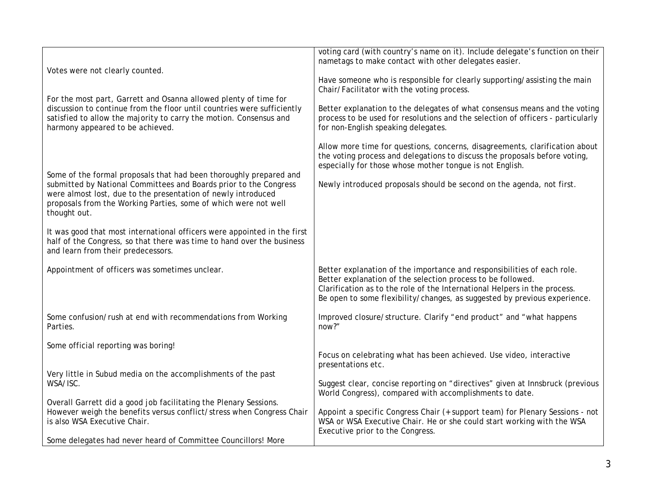| Votes were not clearly counted.                                                                                                                                                                                                                       | voting card (with country's name on it). Include delegate's function on their<br>nametags to make contact with other delegates easier.                                                                                                                                                           |
|-------------------------------------------------------------------------------------------------------------------------------------------------------------------------------------------------------------------------------------------------------|--------------------------------------------------------------------------------------------------------------------------------------------------------------------------------------------------------------------------------------------------------------------------------------------------|
|                                                                                                                                                                                                                                                       | Have someone who is responsible for clearly supporting/assisting the main<br>Chair/Facilitator with the voting process.                                                                                                                                                                          |
| For the most part, Garrett and Osanna allowed plenty of time for<br>discussion to continue from the floor until countries were sufficiently<br>satisfied to allow the majority to carry the motion. Consensus and<br>harmony appeared to be achieved. | Better explanation to the delegates of what consensus means and the voting<br>process to be used for resolutions and the selection of officers - particularly<br>for non-English speaking delegates.                                                                                             |
| Some of the formal proposals that had been thoroughly prepared and                                                                                                                                                                                    | Allow more time for questions, concerns, disagreements, clarification about<br>the voting process and delegations to discuss the proposals before voting,<br>especially for those whose mother tongue is not English.                                                                            |
| submitted by National Committees and Boards prior to the Congress<br>were almost lost, due to the presentation of newly introduced<br>proposals from the Working Parties, some of which were not well<br>thought out.                                 | Newly introduced proposals should be second on the agenda, not first.                                                                                                                                                                                                                            |
| It was good that most international officers were appointed in the first<br>half of the Congress, so that there was time to hand over the business<br>and learn from their predecessors.                                                              |                                                                                                                                                                                                                                                                                                  |
| Appointment of officers was sometimes unclear.                                                                                                                                                                                                        | Better explanation of the importance and responsibilities of each role.<br>Better explanation of the selection process to be followed.<br>Clarification as to the role of the International Helpers in the process.<br>Be open to some flexibility/changes, as suggested by previous experience. |
| Some confusion/rush at end with recommendations from Working<br>Parties.                                                                                                                                                                              | Improved closure/structure. Clarify "end product" and "what happens<br>now?"                                                                                                                                                                                                                     |
| Some official reporting was boring!                                                                                                                                                                                                                   | Focus on celebrating what has been achieved. Use video, interactive                                                                                                                                                                                                                              |
| Very little in Subud media on the accomplishments of the past<br>WSA/ISC.                                                                                                                                                                             | presentations etc.<br>Suggest clear, concise reporting on "directives" given at Innsbruck (previous                                                                                                                                                                                              |
| Overall Garrett did a good job facilitating the Plenary Sessions.                                                                                                                                                                                     | World Congress), compared with accomplishments to date.                                                                                                                                                                                                                                          |
| However weigh the benefits versus conflict/stress when Congress Chair<br>is also WSA Executive Chair.                                                                                                                                                 | Appoint a specific Congress Chair (+ support team) for Plenary Sessions - not<br>WSA or WSA Executive Chair. He or she could start working with the WSA<br>Executive prior to the Congress.                                                                                                      |
| Some delegates had never heard of Committee Councillors! More                                                                                                                                                                                         |                                                                                                                                                                                                                                                                                                  |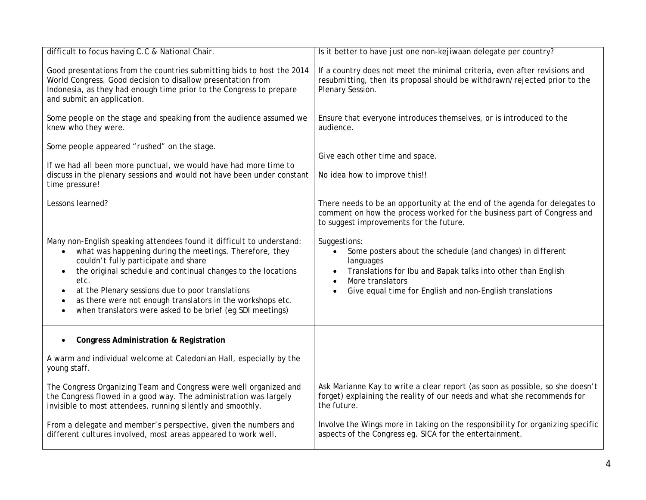| difficult to focus having C.C & National Chair.                                                                                                                                                                                                                                                                                                                                                                                                                | Is it better to have just one non-kejiwaan delegate per country?                                                                                                                                                                                                  |
|----------------------------------------------------------------------------------------------------------------------------------------------------------------------------------------------------------------------------------------------------------------------------------------------------------------------------------------------------------------------------------------------------------------------------------------------------------------|-------------------------------------------------------------------------------------------------------------------------------------------------------------------------------------------------------------------------------------------------------------------|
| Good presentations from the countries submitting bids to host the 2014<br>World Congress. Good decision to disallow presentation from<br>Indonesia, as they had enough time prior to the Congress to prepare<br>and submit an application.                                                                                                                                                                                                                     | If a country does not meet the minimal criteria, even after revisions and<br>resubmitting, then its proposal should be withdrawn/rejected prior to the<br>Plenary Session.                                                                                        |
| Some people on the stage and speaking from the audience assumed we<br>knew who they were.                                                                                                                                                                                                                                                                                                                                                                      | Ensure that everyone introduces themselves, or is introduced to the<br>audience.                                                                                                                                                                                  |
| Some people appeared "rushed" on the stage.<br>If we had all been more punctual, we would have had more time to<br>discuss in the plenary sessions and would not have been under constant<br>time pressure!                                                                                                                                                                                                                                                    | Give each other time and space.<br>No idea how to improve this!!                                                                                                                                                                                                  |
| Lessons learned?                                                                                                                                                                                                                                                                                                                                                                                                                                               | There needs to be an opportunity at the end of the agenda for delegates to<br>comment on how the process worked for the business part of Congress and<br>to suggest improvements for the future.                                                                  |
| Many non-English speaking attendees found it difficult to understand:<br>what was happening during the meetings. Therefore, they<br>$\bullet$<br>couldn't fully participate and share<br>the original schedule and continual changes to the locations<br>etc.<br>at the Plenary sessions due to poor translations<br>٠<br>as there were not enough translators in the workshops etc.<br>when translators were asked to be brief (eg SDI meetings)<br>$\bullet$ | Suggestions:<br>Some posters about the schedule (and changes) in different<br>languages<br>Translations for Ibu and Bapak talks into other than English<br>$\bullet$<br>More translators<br>$\bullet$<br>Give equal time for English and non-English translations |
| <b>Congress Administration &amp; Registration</b><br>$\bullet$<br>A warm and individual welcome at Caledonian Hall, especially by the                                                                                                                                                                                                                                                                                                                          |                                                                                                                                                                                                                                                                   |
| young staff.                                                                                                                                                                                                                                                                                                                                                                                                                                                   |                                                                                                                                                                                                                                                                   |
| The Congress Organizing Team and Congress were well organized and<br>the Congress flowed in a good way. The administration was largely<br>invisible to most attendees, running silently and smoothly.                                                                                                                                                                                                                                                          | Ask Marianne Kay to write a clear report (as soon as possible, so she doesn't<br>forget) explaining the reality of our needs and what she recommends for<br>the future.                                                                                           |
| From a delegate and member's perspective, given the numbers and<br>different cultures involved, most areas appeared to work well.                                                                                                                                                                                                                                                                                                                              | Involve the Wings more in taking on the responsibility for organizing specific<br>aspects of the Congress eg. SICA for the entertainment.                                                                                                                         |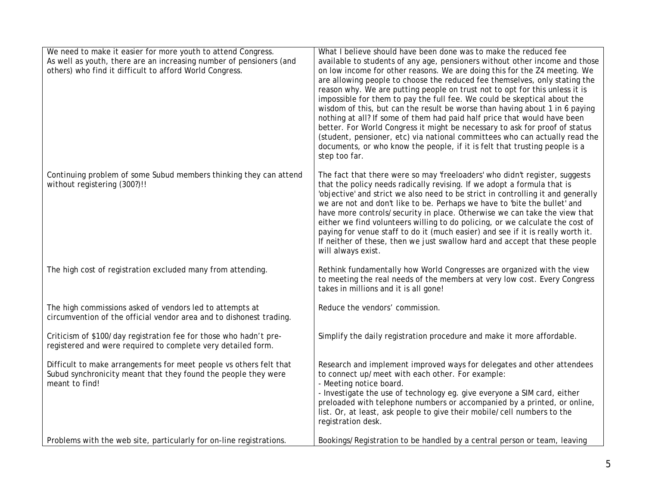| We need to make it easier for more youth to attend Congress.        | What I believe should have been done was to make the reduced fee                                                                                          |
|---------------------------------------------------------------------|-----------------------------------------------------------------------------------------------------------------------------------------------------------|
| As well as youth, there are an increasing number of pensioners (and | available to students of any age, pensioners without other income and those                                                                               |
| others) who find it difficult to afford World Congress.             | on low income for other reasons. We are doing this for the Z4 meeting. We                                                                                 |
|                                                                     | are allowing people to choose the reduced fee themselves, only stating the<br>reason why. We are putting people on trust not to opt for this unless it is |
|                                                                     | impossible for them to pay the full fee. We could be skeptical about the                                                                                  |
|                                                                     | wisdom of this, but can the result be worse than having about 1 in 6 paying                                                                               |
|                                                                     | nothing at all? If some of them had paid half price that would have been                                                                                  |
|                                                                     | better. For World Congress it might be necessary to ask for proof of status                                                                               |
|                                                                     | (student, pensioner, etc) via national committees who can actually read the                                                                               |
|                                                                     | documents, or who know the people, if it is felt that trusting people is a<br>step too far.                                                               |
|                                                                     |                                                                                                                                                           |
| Continuing problem of some Subud members thinking they can attend   | The fact that there were so may 'freeloaders' who didn't register, suggests                                                                               |
| without registering (300?)!!                                        | that the policy needs radically revising. If we adopt a formula that is                                                                                   |
|                                                                     | 'objective' and strict we also need to be strict in controlling it and generally                                                                          |
|                                                                     | we are not and don't like to be. Perhaps we have to 'bite the bullet' and<br>have more controls/security in place. Otherwise we can take the view that    |
|                                                                     | either we find volunteers willing to do policing, or we calculate the cost of                                                                             |
|                                                                     | paying for venue staff to do it (much easier) and see if it is really worth it.                                                                           |
|                                                                     | If neither of these, then we just swallow hard and accept that these people                                                                               |
|                                                                     | will always exist.                                                                                                                                        |
| The high cost of registration excluded many from attending.         | Rethink fundamentally how World Congresses are organized with the view                                                                                    |
|                                                                     | to meeting the real needs of the members at very low cost. Every Congress                                                                                 |
|                                                                     | takes in millions and it is all gone!                                                                                                                     |
| The high commissions asked of vendors led to attempts at            | Reduce the vendors' commission.                                                                                                                           |
| circumvention of the official vendor area and to dishonest trading. |                                                                                                                                                           |
| Criticism of \$100/day registration fee for those who hadn't pre-   | Simplify the daily registration procedure and make it more affordable.                                                                                    |
| registered and were required to complete very detailed form.        |                                                                                                                                                           |
| Difficult to make arrangements for meet people vs others felt that  | Research and implement improved ways for delegates and other attendees                                                                                    |
| Subud synchronicity meant that they found the people they were      | to connect up/meet with each other. For example:                                                                                                          |
| meant to find!                                                      | - Meeting notice board.                                                                                                                                   |
|                                                                     | - Investigate the use of technology eg. give everyone a SIM card, either<br>preloaded with telephone numbers or accompanied by a printed, or online,      |
|                                                                     | list. Or, at least, ask people to give their mobile/cell numbers to the                                                                                   |
|                                                                     | registration desk.                                                                                                                                        |
| Problems with the web site, particularly for on-line registrations. | Bookings/Registration to be handled by a central person or team, leaving                                                                                  |
|                                                                     |                                                                                                                                                           |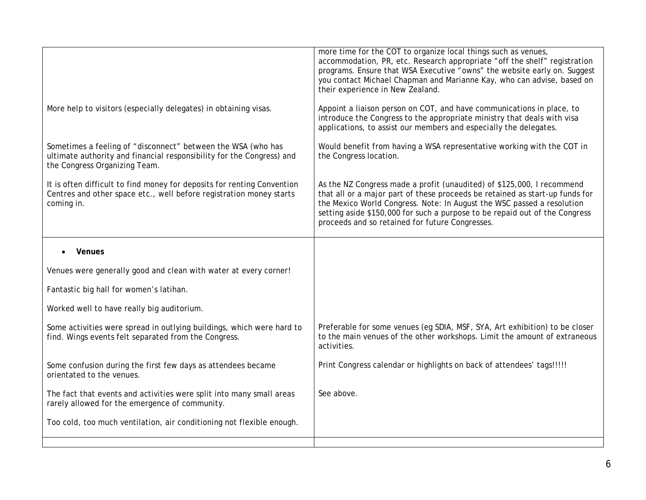|                                                                                                                                                                        | more time for the COT to organize local things such as venues,<br>accommodation, PR, etc. Research appropriate "off the shelf" registration<br>programs. Ensure that WSA Executive "owns" the website early on. Suggest<br>you contact Michael Chapman and Marianne Kay, who can advise, based on<br>their experience in New Zealand.                              |
|------------------------------------------------------------------------------------------------------------------------------------------------------------------------|--------------------------------------------------------------------------------------------------------------------------------------------------------------------------------------------------------------------------------------------------------------------------------------------------------------------------------------------------------------------|
| More help to visitors (especially delegates) in obtaining visas.                                                                                                       | Appoint a liaison person on COT, and have communications in place, to<br>introduce the Congress to the appropriate ministry that deals with visa<br>applications, to assist our members and especially the delegates.                                                                                                                                              |
| Sometimes a feeling of "disconnect" between the WSA (who has<br>ultimate authority and financial responsibility for the Congress) and<br>the Congress Organizing Team. | Would benefit from having a WSA representative working with the COT in<br>the Congress location.                                                                                                                                                                                                                                                                   |
| It is often difficult to find money for deposits for renting Convention<br>Centres and other space etc., well before registration money starts<br>coming in.           | As the NZ Congress made a profit (unaudited) of \$125,000, I recommend<br>that all or a major part of these proceeds be retained as start-up funds for<br>the Mexico World Congress. Note: In August the WSC passed a resolution<br>setting aside \$150,000 for such a purpose to be repaid out of the Congress<br>proceeds and so retained for future Congresses. |
| Venues                                                                                                                                                                 |                                                                                                                                                                                                                                                                                                                                                                    |
| Venues were generally good and clean with water at every corner!                                                                                                       |                                                                                                                                                                                                                                                                                                                                                                    |
| Fantastic big hall for women's latihan.                                                                                                                                |                                                                                                                                                                                                                                                                                                                                                                    |
| Worked well to have really big auditorium.                                                                                                                             |                                                                                                                                                                                                                                                                                                                                                                    |
| Some activities were spread in outlying buildings, which were hard to<br>find. Wings events felt separated from the Congress.                                          | Preferable for some venues (eg SDIA, MSF, SYA, Art exhibition) to be closer<br>to the main venues of the other workshops. Limit the amount of extraneous<br>activities.                                                                                                                                                                                            |
| Some confusion during the first few days as attendees became<br>orientated to the venues.                                                                              | Print Congress calendar or highlights on back of attendees' tags!!!!!                                                                                                                                                                                                                                                                                              |
| The fact that events and activities were split into many small areas<br>rarely allowed for the emergence of community.                                                 | See above.                                                                                                                                                                                                                                                                                                                                                         |
| Too cold, too much ventilation, air conditioning not flexible enough.                                                                                                  |                                                                                                                                                                                                                                                                                                                                                                    |
|                                                                                                                                                                        |                                                                                                                                                                                                                                                                                                                                                                    |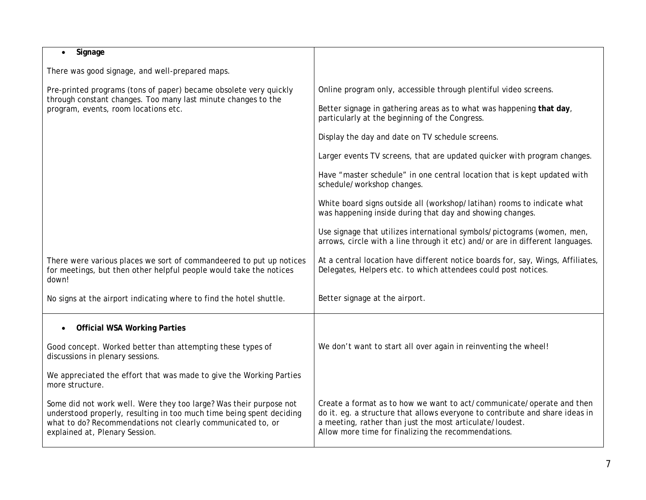| Signage<br>$\bullet$                                                                                                                                                                                                                        |                                                                                                                                                                                                                                                                          |
|---------------------------------------------------------------------------------------------------------------------------------------------------------------------------------------------------------------------------------------------|--------------------------------------------------------------------------------------------------------------------------------------------------------------------------------------------------------------------------------------------------------------------------|
| There was good signage, and well-prepared maps.                                                                                                                                                                                             |                                                                                                                                                                                                                                                                          |
| Pre-printed programs (tons of paper) became obsolete very quickly<br>through constant changes. Too many last minute changes to the<br>program, events, room locations etc.                                                                  | Online program only, accessible through plentiful video screens.                                                                                                                                                                                                         |
|                                                                                                                                                                                                                                             | Better signage in gathering areas as to what was happening that day,<br>particularly at the beginning of the Congress.                                                                                                                                                   |
|                                                                                                                                                                                                                                             | Display the day and date on TV schedule screens.                                                                                                                                                                                                                         |
|                                                                                                                                                                                                                                             | Larger events TV screens, that are updated quicker with program changes.                                                                                                                                                                                                 |
|                                                                                                                                                                                                                                             | Have "master schedule" in one central location that is kept updated with<br>schedule/workshop changes.                                                                                                                                                                   |
|                                                                                                                                                                                                                                             | White board signs outside all (workshop/latihan) rooms to indicate what<br>was happening inside during that day and showing changes.                                                                                                                                     |
|                                                                                                                                                                                                                                             | Use signage that utilizes international symbols/pictograms (women, men,<br>arrows, circle with a line through it etc) and/or are in different languages.                                                                                                                 |
| There were various places we sort of commandeered to put up notices<br>for meetings, but then other helpful people would take the notices<br>down!                                                                                          | At a central location have different notice boards for, say, Wings, Affiliates,<br>Delegates, Helpers etc. to which attendees could post notices.                                                                                                                        |
| No signs at the airport indicating where to find the hotel shuttle.                                                                                                                                                                         | Better signage at the airport.                                                                                                                                                                                                                                           |
| <b>Official WSA Working Parties</b>                                                                                                                                                                                                         |                                                                                                                                                                                                                                                                          |
| Good concept. Worked better than attempting these types of<br>discussions in plenary sessions.                                                                                                                                              | We don't want to start all over again in reinventing the wheel!                                                                                                                                                                                                          |
| We appreciated the effort that was made to give the Working Parties<br>more structure.                                                                                                                                                      |                                                                                                                                                                                                                                                                          |
| Some did not work well. Were they too large? Was their purpose not<br>understood properly, resulting in too much time being spent deciding<br>what to do? Recommendations not clearly communicated to, or<br>explained at, Plenary Session. | Create a format as to how we want to act/communicate/operate and then<br>do it. eg. a structure that allows everyone to contribute and share ideas in<br>a meeting, rather than just the most articulate/loudest.<br>Allow more time for finalizing the recommendations. |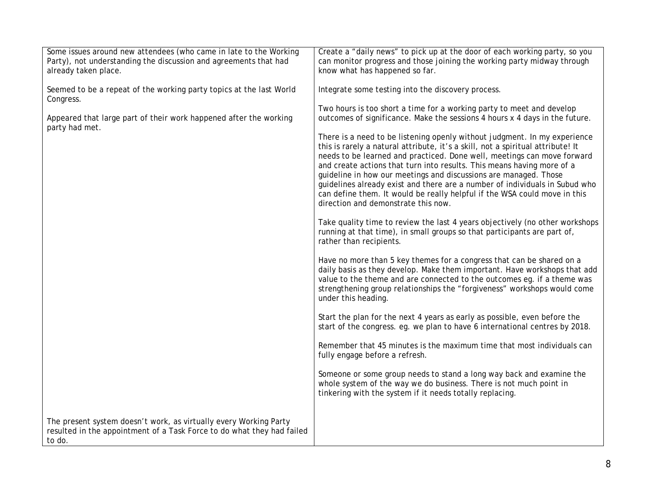| Some issues around new attendees (who came in late to the Working<br>Party), not understanding the discussion and agreements that had<br>already taken place. | Create a "daily news" to pick up at the door of each working party, so you<br>can monitor progress and those joining the working party midway through<br>know what has happened so far.                                                                                                                                                                                                                                                                                                                                                                                                  |
|---------------------------------------------------------------------------------------------------------------------------------------------------------------|------------------------------------------------------------------------------------------------------------------------------------------------------------------------------------------------------------------------------------------------------------------------------------------------------------------------------------------------------------------------------------------------------------------------------------------------------------------------------------------------------------------------------------------------------------------------------------------|
| Seemed to be a repeat of the working party topics at the last World<br>Congress.                                                                              | Integrate some testing into the discovery process.                                                                                                                                                                                                                                                                                                                                                                                                                                                                                                                                       |
| Appeared that large part of their work happened after the working<br>party had met.                                                                           | Two hours is too short a time for a working party to meet and develop<br>outcomes of significance. Make the sessions 4 hours x 4 days in the future.                                                                                                                                                                                                                                                                                                                                                                                                                                     |
|                                                                                                                                                               | There is a need to be listening openly without judgment. In my experience<br>this is rarely a natural attribute, it's a skill, not a spiritual attribute! It<br>needs to be learned and practiced. Done well, meetings can move forward<br>and create actions that turn into results. This means having more of a<br>guideline in how our meetings and discussions are managed. Those<br>guidelines already exist and there are a number of individuals in Subud who<br>can define them. It would be really helpful if the WSA could move in this<br>direction and demonstrate this now. |
|                                                                                                                                                               | Take quality time to review the last 4 years objectively (no other workshops<br>running at that time), in small groups so that participants are part of,<br>rather than recipients.                                                                                                                                                                                                                                                                                                                                                                                                      |
|                                                                                                                                                               | Have no more than 5 key themes for a congress that can be shared on a<br>daily basis as they develop. Make them important. Have workshops that add<br>value to the theme and are connected to the outcomes eg. if a theme was<br>strengthening group relationships the "forgiveness" workshops would come<br>under this heading.                                                                                                                                                                                                                                                         |
|                                                                                                                                                               | Start the plan for the next 4 years as early as possible, even before the<br>start of the congress. eg. we plan to have 6 international centres by 2018.                                                                                                                                                                                                                                                                                                                                                                                                                                 |
|                                                                                                                                                               | Remember that 45 minutes is the maximum time that most individuals can<br>fully engage before a refresh.                                                                                                                                                                                                                                                                                                                                                                                                                                                                                 |
|                                                                                                                                                               | Someone or some group needs to stand a long way back and examine the<br>whole system of the way we do business. There is not much point in<br>tinkering with the system if it needs totally replacing.                                                                                                                                                                                                                                                                                                                                                                                   |
| The present system doesn't work, as virtually every Working Party<br>resulted in the appointment of a Task Force to do what they had failed<br>to do.         |                                                                                                                                                                                                                                                                                                                                                                                                                                                                                                                                                                                          |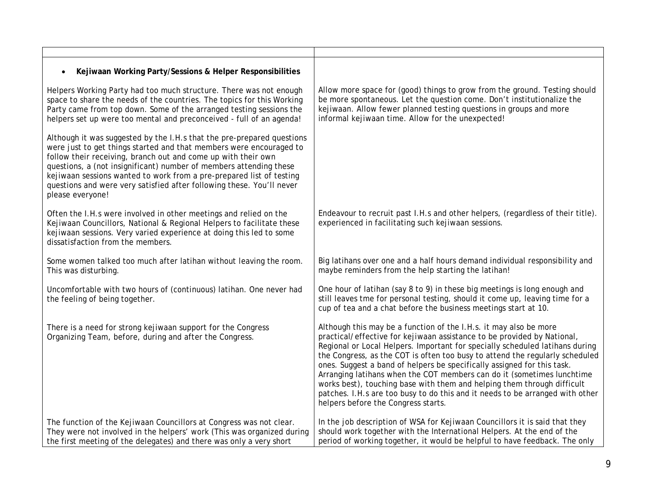| Kejiwaan Working Party/Sessions & Helper Responsibilities                                                                                                                                                                                                                                                                                                                                                                                                 |                                                                                                                                                                                                                                                                                                                                                                                                                                                                                                                                                                                                                                                                      |
|-----------------------------------------------------------------------------------------------------------------------------------------------------------------------------------------------------------------------------------------------------------------------------------------------------------------------------------------------------------------------------------------------------------------------------------------------------------|----------------------------------------------------------------------------------------------------------------------------------------------------------------------------------------------------------------------------------------------------------------------------------------------------------------------------------------------------------------------------------------------------------------------------------------------------------------------------------------------------------------------------------------------------------------------------------------------------------------------------------------------------------------------|
| Helpers Working Party had too much structure. There was not enough<br>space to share the needs of the countries. The topics for this Working<br>Party came from top down. Some of the arranged testing sessions the<br>helpers set up were too mental and preconceived - full of an agenda!                                                                                                                                                               | Allow more space for (good) things to grow from the ground. Testing should<br>be more spontaneous. Let the question come. Don't institutionalize the<br>kejiwaan. Allow fewer planned testing questions in groups and more<br>informal kejiwaan time. Allow for the unexpected!                                                                                                                                                                                                                                                                                                                                                                                      |
| Although it was suggested by the I.H.s that the pre-prepared questions<br>were just to get things started and that members were encouraged to<br>follow their receiving, branch out and come up with their own<br>questions, a (not insignificant) number of members attending these<br>kejiwaan sessions wanted to work from a pre-prepared list of testing<br>questions and were very satisfied after following these. You'll never<br>please everyone! |                                                                                                                                                                                                                                                                                                                                                                                                                                                                                                                                                                                                                                                                      |
| Often the I.H.s were involved in other meetings and relied on the<br>Kejiwaan Councillors, National & Regional Helpers to facilitate these<br>kejiwaan sessions. Very varied experience at doing this led to some<br>dissatisfaction from the members.                                                                                                                                                                                                    | Endeavour to recruit past I.H.s and other helpers, (regardless of their title).<br>experienced in facilitating such kejiwaan sessions.                                                                                                                                                                                                                                                                                                                                                                                                                                                                                                                               |
| Some women talked too much after latihan without leaving the room.<br>This was disturbing.                                                                                                                                                                                                                                                                                                                                                                | Big latihans over one and a half hours demand individual responsibility and<br>maybe reminders from the help starting the latihan!                                                                                                                                                                                                                                                                                                                                                                                                                                                                                                                                   |
| Uncomfortable with two hours of (continuous) latihan. One never had<br>the feeling of being together.                                                                                                                                                                                                                                                                                                                                                     | One hour of latihan (say 8 to 9) in these big meetings is long enough and<br>still leaves tme for personal testing, should it come up, leaving time for a<br>cup of tea and a chat before the business meetings start at 10.                                                                                                                                                                                                                                                                                                                                                                                                                                         |
| There is a need for strong kejiwaan support for the Congress<br>Organizing Team, before, during and after the Congress.                                                                                                                                                                                                                                                                                                                                   | Although this may be a function of the I.H.s. it may also be more<br>practical/effective for kejiwaan assistance to be provided by National,<br>Regional or Local Helpers. Important for specially scheduled latihans during<br>the Congress, as the COT is often too busy to attend the regularly scheduled<br>ones. Suggest a band of helpers be specifically assigned for this task.<br>Arranging latihans when the COT members can do it (sometimes lunchtime<br>works best), touching base with them and helping them through difficult<br>patches. I.H.s are too busy to do this and it needs to be arranged with other<br>helpers before the Congress starts. |
| The function of the Kejiwaan Councillors at Congress was not clear.<br>They were not involved in the helpers' work (This was organized during<br>the first meeting of the delegates) and there was only a very short                                                                                                                                                                                                                                      | In the job description of WSA for Kejiwaan Councillors it is said that they<br>should work together with the International Helpers. At the end of the<br>period of working together, it would be helpful to have feedback. The only                                                                                                                                                                                                                                                                                                                                                                                                                                  |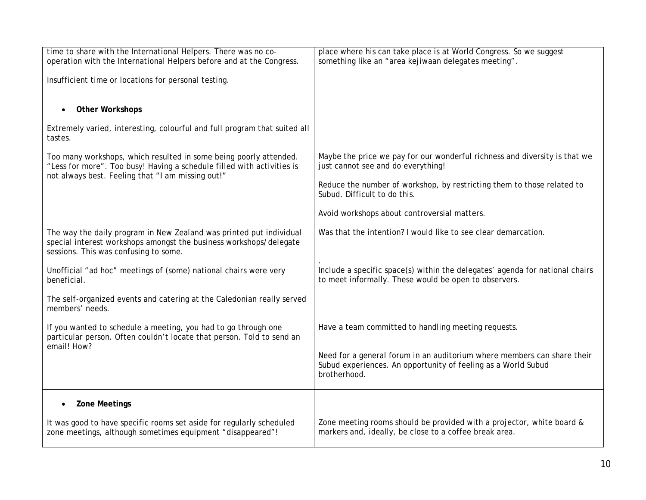| time to share with the International Helpers. There was no co-<br>operation with the International Helpers before and at the Congress.                                                           | place where his can take place is at World Congress. So we suggest<br>something like an "area kejiwaan delegates meeting".                               |
|--------------------------------------------------------------------------------------------------------------------------------------------------------------------------------------------------|----------------------------------------------------------------------------------------------------------------------------------------------------------|
| Insufficient time or locations for personal testing.                                                                                                                                             |                                                                                                                                                          |
| <b>Other Workshops</b><br>$\bullet$                                                                                                                                                              |                                                                                                                                                          |
| Extremely varied, interesting, colourful and full program that suited all<br>tastes.                                                                                                             |                                                                                                                                                          |
| Too many workshops, which resulted in some being poorly attended.<br>"Less for more". Too busy! Having a schedule filled with activities is<br>not always best. Feeling that "I am missing out!" | Maybe the price we pay for our wonderful richness and diversity is that we<br>just cannot see and do everything!                                         |
|                                                                                                                                                                                                  | Reduce the number of workshop, by restricting them to those related to<br>Subud. Difficult to do this.                                                   |
|                                                                                                                                                                                                  | Avoid workshops about controversial matters.                                                                                                             |
| The way the daily program in New Zealand was printed put individual<br>special interest workshops amongst the business workshops/delegate<br>sessions. This was confusing to some.               | Was that the intention? I would like to see clear demarcation.                                                                                           |
| Unofficial "ad hoc" meetings of (some) national chairs were very<br>beneficial.                                                                                                                  | Include a specific space(s) within the delegates' agenda for national chairs<br>to meet informally. These would be open to observers.                    |
| The self-organized events and catering at the Caledonian really served<br>members' needs.                                                                                                        |                                                                                                                                                          |
| If you wanted to schedule a meeting, you had to go through one<br>particular person. Often couldn't locate that person. Told to send an<br>email! How?                                           | Have a team committed to handling meeting requests.                                                                                                      |
|                                                                                                                                                                                                  | Need for a general forum in an auditorium where members can share their<br>Subud experiences. An opportunity of feeling as a World Subud<br>brotherhood. |
| <b>Zone Meetings</b><br>$\bullet$                                                                                                                                                                |                                                                                                                                                          |
| It was good to have specific rooms set aside for regularly scheduled<br>zone meetings, although sometimes equipment "disappeared"!                                                               | Zone meeting rooms should be provided with a projector, white board &<br>markers and, ideally, be close to a coffee break area.                          |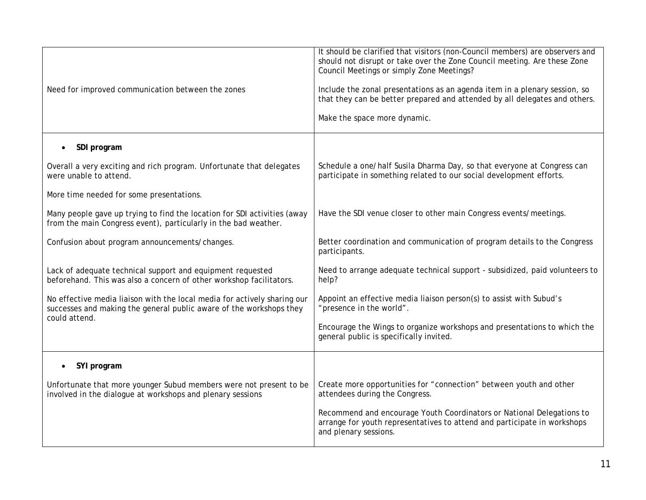| Need for improved communication between the zones                                                                                                                | It should be clarified that visitors (non-Council members) are observers and<br>should not disrupt or take over the Zone Council meeting. Are these Zone<br>Council Meetings or simply Zone Meetings?<br>Include the zonal presentations as an agenda item in a plenary session, so<br>that they can be better prepared and attended by all delegates and others.<br>Make the space more dynamic. |
|------------------------------------------------------------------------------------------------------------------------------------------------------------------|---------------------------------------------------------------------------------------------------------------------------------------------------------------------------------------------------------------------------------------------------------------------------------------------------------------------------------------------------------------------------------------------------|
| SDI program                                                                                                                                                      |                                                                                                                                                                                                                                                                                                                                                                                                   |
| Overall a very exciting and rich program. Unfortunate that delegates<br>were unable to attend.                                                                   | Schedule a one/half Susila Dharma Day, so that everyone at Congress can<br>participate in something related to our social development efforts.                                                                                                                                                                                                                                                    |
| More time needed for some presentations.                                                                                                                         |                                                                                                                                                                                                                                                                                                                                                                                                   |
| Many people gave up trying to find the location for SDI activities (away<br>from the main Congress event), particularly in the bad weather.                      | Have the SDI venue closer to other main Congress events/meetings.                                                                                                                                                                                                                                                                                                                                 |
| Confusion about program announcements/changes.                                                                                                                   | Better coordination and communication of program details to the Congress<br>participants.                                                                                                                                                                                                                                                                                                         |
| Lack of adequate technical support and equipment requested<br>beforehand. This was also a concern of other workshop facilitators.                                | Need to arrange adequate technical support - subsidized, paid volunteers to<br>help?                                                                                                                                                                                                                                                                                                              |
| No effective media liaison with the local media for actively sharing our<br>successes and making the general public aware of the workshops they<br>could attend. | Appoint an effective media liaison person(s) to assist with Subud's<br>"presence in the world".                                                                                                                                                                                                                                                                                                   |
|                                                                                                                                                                  | Encourage the Wings to organize workshops and presentations to which the<br>general public is specifically invited.                                                                                                                                                                                                                                                                               |
| SYI program                                                                                                                                                      |                                                                                                                                                                                                                                                                                                                                                                                                   |
| Unfortunate that more younger Subud members were not present to be<br>involved in the dialogue at workshops and plenary sessions                                 | Create more opportunities for "connection" between youth and other<br>attendees during the Congress.                                                                                                                                                                                                                                                                                              |
|                                                                                                                                                                  | Recommend and encourage Youth Coordinators or National Delegations to<br>arrange for youth representatives to attend and participate in workshops<br>and plenary sessions.                                                                                                                                                                                                                        |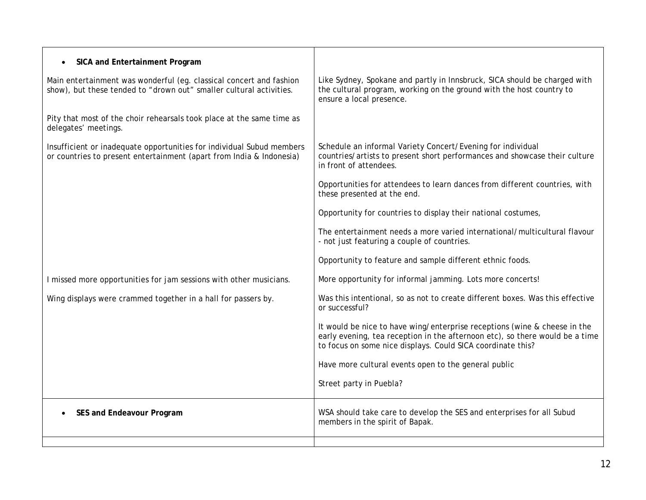| SICA and Entertainment Program<br>$\bullet$                                                                                                   |                                                                                                                                                                                                                          |
|-----------------------------------------------------------------------------------------------------------------------------------------------|--------------------------------------------------------------------------------------------------------------------------------------------------------------------------------------------------------------------------|
| Main entertainment was wonderful (eg. classical concert and fashion<br>show), but these tended to "drown out" smaller cultural activities.    | Like Sydney, Spokane and partly in Innsbruck, SICA should be charged with<br>the cultural program, working on the ground with the host country to<br>ensure a local presence.                                            |
| Pity that most of the choir rehearsals took place at the same time as<br>delegates' meetings.                                                 |                                                                                                                                                                                                                          |
| Insufficient or inadequate opportunities for individual Subud members<br>or countries to present entertainment (apart from India & Indonesia) | Schedule an informal Variety Concert/Evening for individual<br>countries/artists to present short performances and showcase their culture<br>in front of attendees.                                                      |
|                                                                                                                                               | Opportunities for attendees to learn dances from different countries, with<br>these presented at the end.                                                                                                                |
|                                                                                                                                               | Opportunity for countries to display their national costumes,                                                                                                                                                            |
|                                                                                                                                               | The entertainment needs a more varied international/multicultural flavour<br>- not just featuring a couple of countries.                                                                                                 |
|                                                                                                                                               | Opportunity to feature and sample different ethnic foods.                                                                                                                                                                |
| I missed more opportunities for jam sessions with other musicians.                                                                            | More opportunity for informal jamming. Lots more concerts!                                                                                                                                                               |
| Wing displays were crammed together in a hall for passers by.                                                                                 | Was this intentional, so as not to create different boxes. Was this effective<br>or successful?                                                                                                                          |
|                                                                                                                                               | It would be nice to have wing/enterprise receptions (wine & cheese in the<br>early evening, tea reception in the afternoon etc), so there would be a time<br>to focus on some nice displays. Could SICA coordinate this? |
|                                                                                                                                               | Have more cultural events open to the general public                                                                                                                                                                     |
|                                                                                                                                               | Street party in Puebla?                                                                                                                                                                                                  |
| SES and Endeavour Program                                                                                                                     | WSA should take care to develop the SES and enterprises for all Subud<br>members in the spirit of Bapak.                                                                                                                 |
|                                                                                                                                               |                                                                                                                                                                                                                          |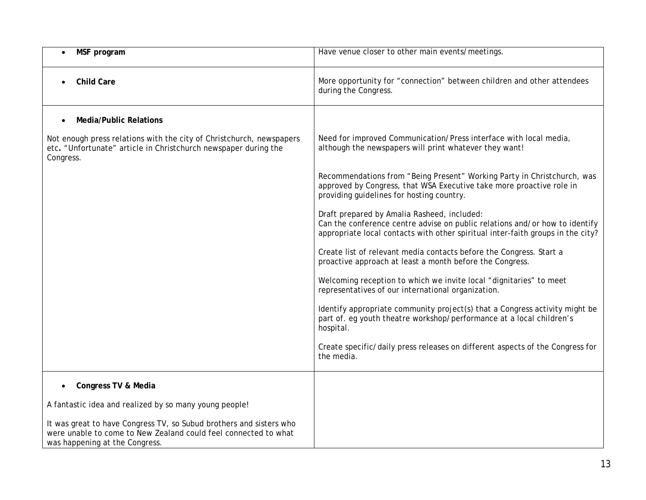| MSF program                                                                                                                                                              | Have venue closer to other main events/meetings.                                                                                                                                                              |
|--------------------------------------------------------------------------------------------------------------------------------------------------------------------------|---------------------------------------------------------------------------------------------------------------------------------------------------------------------------------------------------------------|
| <b>Child Care</b>                                                                                                                                                        | More opportunity for "connection" between children and other attendees<br>during the Congress.                                                                                                                |
| <b>Media/Public Relations</b>                                                                                                                                            |                                                                                                                                                                                                               |
| Not enough press relations with the city of Christchurch, newspapers<br>etc. "Unfortunate" article in Christchurch newspaper during the<br>Congress.                     | Need for improved Communication/Press interface with local media,<br>although the newspapers will print whatever they want!                                                                                   |
|                                                                                                                                                                          | Recommendations from "Being Present" Working Party in Christchurch, was<br>approved by Congress, that WSA Executive take more proactive role in<br>providing guidelines for hosting country.                  |
|                                                                                                                                                                          | Draft prepared by Amalia Rasheed, included:<br>Can the conference centre advise on public relations and/or how to identify<br>appropriate local contacts with other spiritual inter-faith groups in the city? |
|                                                                                                                                                                          | Create list of relevant media contacts before the Congress. Start a<br>proactive approach at least a month before the Congress.                                                                               |
|                                                                                                                                                                          | Welcoming reception to which we invite local "dignitaries" to meet<br>representatives of our international organization.                                                                                      |
|                                                                                                                                                                          | Identify appropriate community project(s) that a Congress activity might be<br>part of. eg youth theatre workshop/performance at a local children's<br>hospital.                                              |
|                                                                                                                                                                          | Create specific/daily press releases on different aspects of the Congress for<br>the media.                                                                                                                   |
| Congress TV & Media                                                                                                                                                      |                                                                                                                                                                                                               |
| A fantastic idea and realized by so many young people!                                                                                                                   |                                                                                                                                                                                                               |
| It was great to have Congress TV, so Subud brothers and sisters who<br>were unable to come to New Zealand could feel connected to what<br>was happening at the Congress. |                                                                                                                                                                                                               |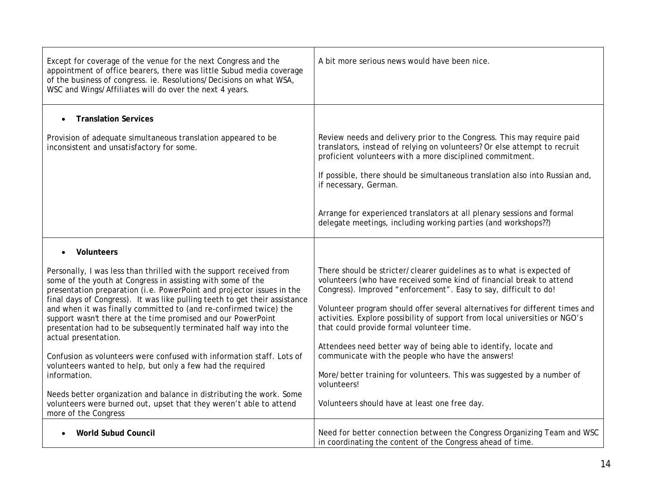| Except for coverage of the venue for the next Congress and the<br>appointment of office bearers, there was little Subud media coverage<br>of the business of congress. ie. Resolutions/Decisions on what WSA,<br>WSC and Wings/Affiliates will do over the next 4 years.                                                                                                                                                                                                                                                                                                                                                                                                                                                                                                                                                        | A bit more serious news would have been nice.                                                                                                                                                                                                                                                                                                                                                                                                                                                                                                                                                                                                                                                  |
|---------------------------------------------------------------------------------------------------------------------------------------------------------------------------------------------------------------------------------------------------------------------------------------------------------------------------------------------------------------------------------------------------------------------------------------------------------------------------------------------------------------------------------------------------------------------------------------------------------------------------------------------------------------------------------------------------------------------------------------------------------------------------------------------------------------------------------|------------------------------------------------------------------------------------------------------------------------------------------------------------------------------------------------------------------------------------------------------------------------------------------------------------------------------------------------------------------------------------------------------------------------------------------------------------------------------------------------------------------------------------------------------------------------------------------------------------------------------------------------------------------------------------------------|
| <b>Translation Services</b><br>$\bullet$<br>Provision of adequate simultaneous translation appeared to be<br>inconsistent and unsatisfactory for some.                                                                                                                                                                                                                                                                                                                                                                                                                                                                                                                                                                                                                                                                          | Review needs and delivery prior to the Congress. This may require paid<br>translators, instead of relying on volunteers? Or else attempt to recruit<br>proficient volunteers with a more disciplined commitment.<br>If possible, there should be simultaneous translation also into Russian and,<br>if necessary, German.<br>Arrange for experienced translators at all plenary sessions and formal<br>delegate meetings, including working parties (and workshops??)                                                                                                                                                                                                                          |
| Volunteers<br>$\bullet$                                                                                                                                                                                                                                                                                                                                                                                                                                                                                                                                                                                                                                                                                                                                                                                                         |                                                                                                                                                                                                                                                                                                                                                                                                                                                                                                                                                                                                                                                                                                |
| Personally, I was less than thrilled with the support received from<br>some of the youth at Congress in assisting with some of the<br>presentation preparation (i.e. PowerPoint and projector issues in the<br>final days of Congress). It was like pulling teeth to get their assistance<br>and when it was finally committed to (and re-confirmed twice) the<br>support wasn't there at the time promised and our PowerPoint<br>presentation had to be subsequently terminated half way into the<br>actual presentation.<br>Confusion as volunteers were confused with information staff. Lots of<br>volunteers wanted to help, but only a few had the required<br>information.<br>Needs better organization and balance in distributing the work. Some<br>volunteers were burned out, upset that they weren't able to attend | There should be stricter/clearer guidelines as to what is expected of<br>volunteers (who have received some kind of financial break to attend<br>Congress). Improved "enforcement". Easy to say, difficult to do!<br>Volunteer program should offer several alternatives for different times and<br>activities. Explore possibility of support from local universities or NGO's<br>that could provide formal volunteer time.<br>Attendees need better way of being able to identify, locate and<br>communicate with the people who have the answers!<br>More/better training for volunteers. This was suggested by a number of<br>volunteers!<br>Volunteers should have at least one free day. |
| more of the Congress                                                                                                                                                                                                                                                                                                                                                                                                                                                                                                                                                                                                                                                                                                                                                                                                            |                                                                                                                                                                                                                                                                                                                                                                                                                                                                                                                                                                                                                                                                                                |
| <b>World Subud Council</b>                                                                                                                                                                                                                                                                                                                                                                                                                                                                                                                                                                                                                                                                                                                                                                                                      | Need for better connection between the Congress Organizing Team and WSC<br>in coordinating the content of the Congress ahead of time.                                                                                                                                                                                                                                                                                                                                                                                                                                                                                                                                                          |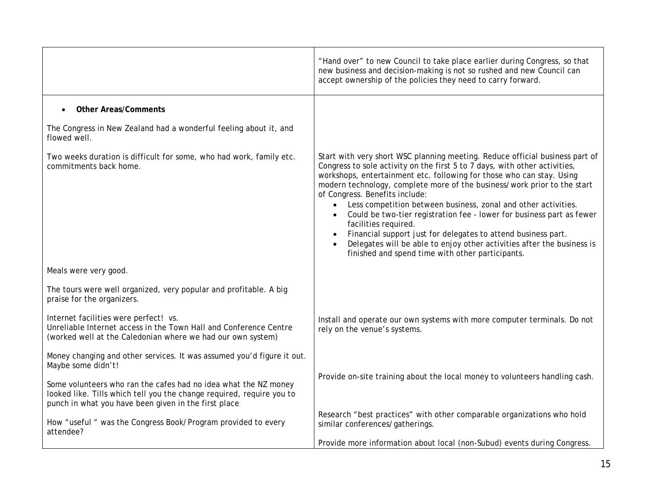|                                                                                                                                                                                                  | "Hand over" to new Council to take place earlier during Congress, so that<br>new business and decision-making is not so rushed and new Council can<br>accept ownership of the policies they need to carry forward.                                                                                                                                                                                                                                                                                                                                                                                                                                                                                                               |
|--------------------------------------------------------------------------------------------------------------------------------------------------------------------------------------------------|----------------------------------------------------------------------------------------------------------------------------------------------------------------------------------------------------------------------------------------------------------------------------------------------------------------------------------------------------------------------------------------------------------------------------------------------------------------------------------------------------------------------------------------------------------------------------------------------------------------------------------------------------------------------------------------------------------------------------------|
| <b>Other Areas/Comments</b><br>$\bullet$                                                                                                                                                         |                                                                                                                                                                                                                                                                                                                                                                                                                                                                                                                                                                                                                                                                                                                                  |
| The Congress in New Zealand had a wonderful feeling about it, and<br>flowed well.                                                                                                                |                                                                                                                                                                                                                                                                                                                                                                                                                                                                                                                                                                                                                                                                                                                                  |
| Two weeks duration is difficult for some, who had work, family etc.<br>commitments back home.                                                                                                    | Start with very short WSC planning meeting. Reduce official business part of<br>Congress to sole activity on the first 5 to 7 days, with other activities,<br>workshops, entertainment etc. following for those who can stay. Using<br>modern technology, complete more of the business/work prior to the start<br>of Congress. Benefits include:<br>Less competition between business, zonal and other activities.<br>$\bullet$<br>Could be two-tier registration fee - lower for business part as fewer<br>facilities required.<br>Financial support just for delegates to attend business part.<br>Delegates will be able to enjoy other activities after the business is<br>finished and spend time with other participants. |
| Meals were very good.                                                                                                                                                                            |                                                                                                                                                                                                                                                                                                                                                                                                                                                                                                                                                                                                                                                                                                                                  |
| The tours were well organized, very popular and profitable. A big<br>praise for the organizers.                                                                                                  |                                                                                                                                                                                                                                                                                                                                                                                                                                                                                                                                                                                                                                                                                                                                  |
| Internet facilities were perfect! vs.<br>Unreliable Internet access in the Town Hall and Conference Centre<br>(worked well at the Caledonian where we had our own system)                        | Install and operate our own systems with more computer terminals. Do not<br>rely on the venue's systems.                                                                                                                                                                                                                                                                                                                                                                                                                                                                                                                                                                                                                         |
| Money changing and other services. It was assumed you'd figure it out.<br>Maybe some didn't!                                                                                                     |                                                                                                                                                                                                                                                                                                                                                                                                                                                                                                                                                                                                                                                                                                                                  |
| Some volunteers who ran the cafes had no idea what the NZ money<br>looked like. Tills which tell you the change required, require you to<br>punch in what you have been given in the first place | Provide on-site training about the local money to volunteers handling cash.                                                                                                                                                                                                                                                                                                                                                                                                                                                                                                                                                                                                                                                      |
| How "useful " was the Congress Book/Program provided to every<br>attendee?                                                                                                                       | Research "best practices" with other comparable organizations who hold<br>similar conferences/gatherings.                                                                                                                                                                                                                                                                                                                                                                                                                                                                                                                                                                                                                        |
|                                                                                                                                                                                                  | Provide more information about local (non-Subud) events during Congress.                                                                                                                                                                                                                                                                                                                                                                                                                                                                                                                                                                                                                                                         |